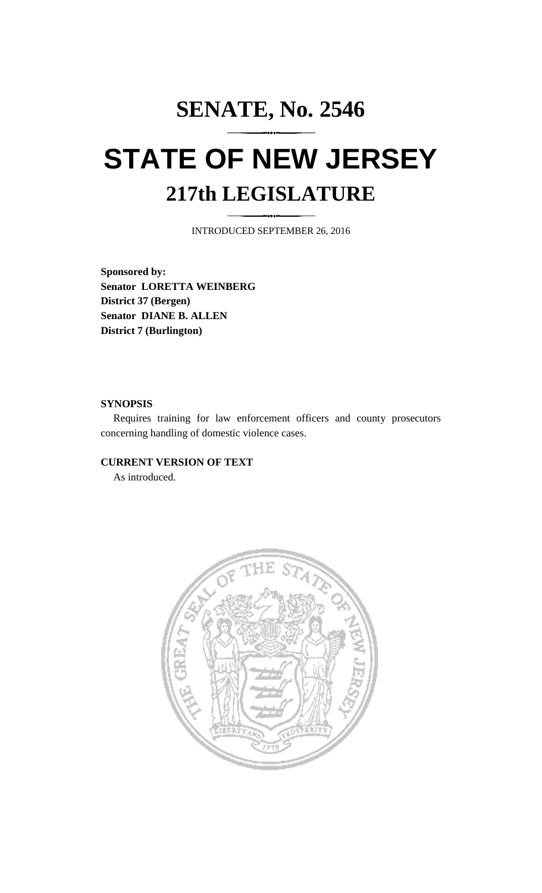# **SENATE, No. 2546 STATE OF NEW JERSEY 217th LEGISLATURE**

INTRODUCED SEPTEMBER 26, 2016

**Sponsored by: Senator LORETTA WEINBERG District 37 (Bergen) Senator DIANE B. ALLEN District 7 (Burlington)**

### **SYNOPSIS**

Requires training for law enforcement officers and county prosecutors concerning handling of domestic violence cases.

## **CURRENT VERSION OF TEXT**

As introduced.

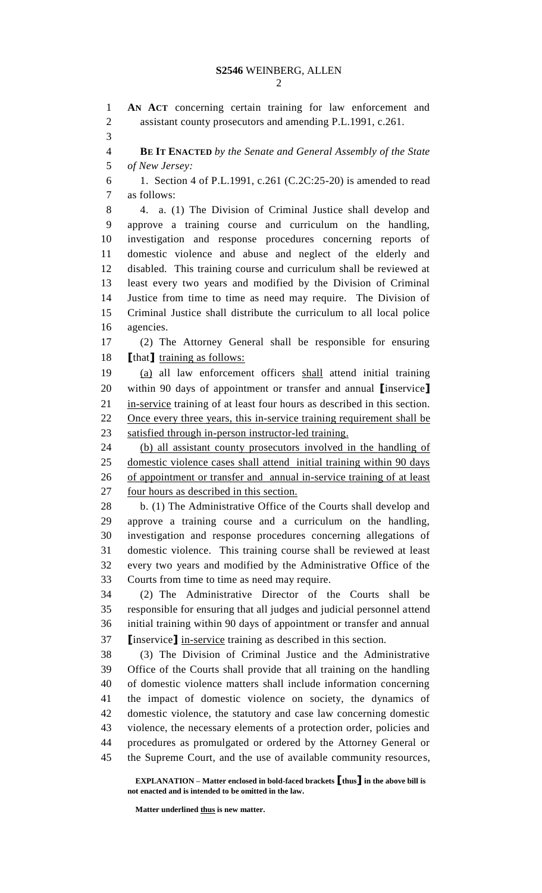**AN ACT** concerning certain training for law enforcement and assistant county prosecutors and amending P.L.1991, c.261. **BE IT ENACTED** *by the Senate and General Assembly of the State* 

*of New Jersey:*

 1. Section 4 of P.L.1991, c.261 (C.2C:25-20) is amended to read as follows:

 4. a. (1) The Division of Criminal Justice shall develop and approve a training course and curriculum on the handling, investigation and response procedures concerning reports of domestic violence and abuse and neglect of the elderly and disabled. This training course and curriculum shall be reviewed at least every two years and modified by the Division of Criminal Justice from time to time as need may require. The Division of Criminal Justice shall distribute the curriculum to all local police agencies.

 (2) The Attorney General shall be responsible for ensuring **[**that**]** training as follows:

 (a) all law enforcement officers shall attend initial training within 90 days of appointment or transfer and annual **[**inservice**]** in-service training of at least four hours as described in this section. 22 Once every three years, this in-service training requirement shall be satisfied through in-person instructor-led training.

 (b) all assistant county prosecutors involved in the handling of domestic violence cases shall attend initial training within 90 days of appointment or transfer and annual in-service training of at least 27 four hours as described in this section.

 b. (1) The Administrative Office of the Courts shall develop and approve a training course and a curriculum on the handling, investigation and response procedures concerning allegations of domestic violence. This training course shall be reviewed at least every two years and modified by the Administrative Office of the Courts from time to time as need may require.

 (2) The Administrative Director of the Courts shall be responsible for ensuring that all judges and judicial personnel attend initial training within 90 days of appointment or transfer and annual **[**inservice**]** in-service training as described in this section.

 (3) The Division of Criminal Justice and the Administrative Office of the Courts shall provide that all training on the handling of domestic violence matters shall include information concerning the impact of domestic violence on society, the dynamics of domestic violence, the statutory and case law concerning domestic violence, the necessary elements of a protection order, policies and procedures as promulgated or ordered by the Attorney General or the Supreme Court, and the use of available community resources,

**EXPLANATION – Matter enclosed in bold-faced brackets [thus] in the above bill is not enacted and is intended to be omitted in the law.**

**Matter underlined thus is new matter.**